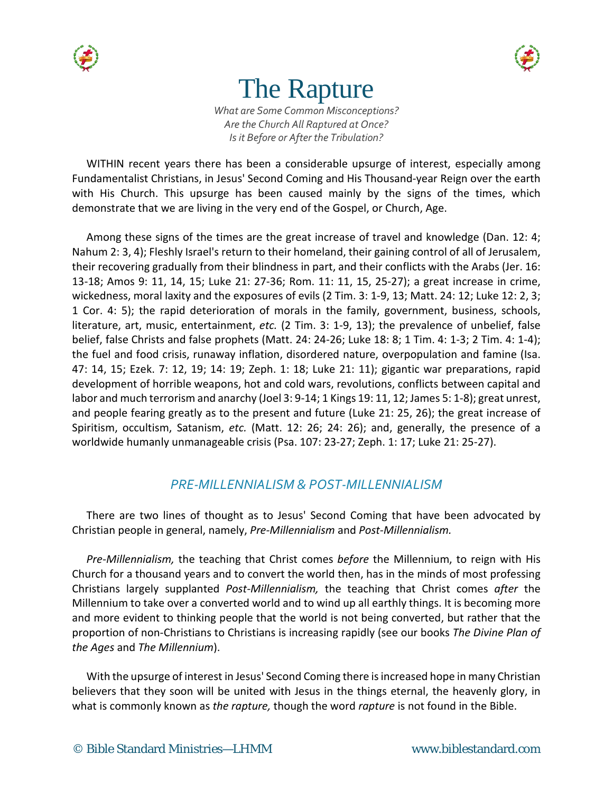

# The Rapture

*What are Some Common Misconceptions? Are the Church All Raptured at Once? Is it Before or After the Tribulation?*

WITHIN recent years there has been a considerable upsurge of interest, especially among Fundamentalist Christians, in Jesus' Second Coming and His Thousand-year Reign over the earth with His Church. This upsurge has been caused mainly by the signs of the times, which demonstrate that we are living in the very end of the Gospel, or Church, Age.

Among these signs of the times are the great increase of travel and knowledge (Dan. 12: 4; Nahum 2: 3, 4); Fleshly Israel's return to their homeland, their gaining control of all of Jerusalem, their recovering gradually from their blindness in part, and their conflicts with the Arabs (Jer. 16: 13-18; Amos 9: 11, 14, 15; Luke 21: 27-36; Rom. 11: 11, 15, 25-27); a great increase in crime, wickedness, moral laxity and the exposures of evils (2 Tim. 3: 1-9, 13; Matt. 24: 12; Luke 12: 2, 3; 1 Cor. 4: 5); the rapid deterioration of morals in the family, government, business, schools, literature, art, music, entertainment, *etc.* (2 Tim. 3: 1-9, 13); the prevalence of unbelief, false belief, false Christs and false prophets (Matt. 24: 24-26; Luke 18: 8; 1 Tim. 4: 1-3; 2 Tim. 4: 1-4); the fuel and food crisis, runaway inflation, disordered nature, overpopulation and famine (Isa. 47: 14, 15; Ezek. 7: 12, 19; 14: 19; Zeph. 1: 18; Luke 21: 11); gigantic war preparations, rapid development of horrible weapons, hot and cold wars, revolutions, conflicts between capital and labor and much terrorism and anarchy (Joel 3: 9-14; 1 Kings 19: 11, 12; James 5: 1-8); great unrest, and people fearing greatly as to the present and future (Luke 21: 25, 26); the great increase of Spiritism, occultism, Satanism, *etc.* (Matt. 12: 26; 24: 26); and, generally, the presence of a worldwide humanly unmanageable crisis (Psa. 107: 23-27; Zeph. 1: 17; Luke 21: 25-27).

#### *PRE-MILLENNIALISM & POST-MILLENNIALISM*

There are two lines of thought as to Jesus' Second Coming that have been advocated by Christian people in general, namely, *Pre-Millennialism* and *Post-Millennialism.*

*Pre-Millennialism,* the teaching that Christ comes *before* the Millennium, to reign with His Church for a thousand years and to convert the world then, has in the minds of most professing Christians largely supplanted *Post-Millennialism,* the teaching that Christ comes *after* the Millennium to take over a converted world and to wind up all earthly things. It is becoming more and more evident to thinking people that the world is not being converted, but rather that the proportion of non-Christians to Christians is increasing rapidly (see our books *The Divine Plan of the Ages* and *The Millennium*).

With the upsurge of interest in Jesus' Second Coming there is increased hope in many Christian believers that they soon will be united with Jesus in the things eternal, the heavenly glory, in what is commonly known as *the rapture,* though the word *rapture* is not found in the Bible.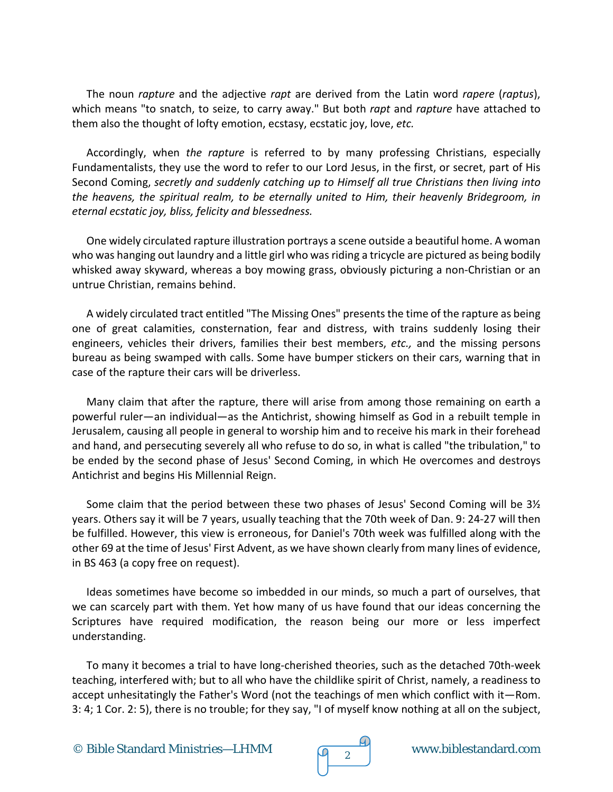The noun *rapture* and the adjective *rapt* are derived from the Latin word *rapere* (*raptus*), which means "to snatch, to seize, to carry away." But both *rapt* and *rapture* have attached to them also the thought of lofty emotion, ecstasy, ecstatic joy, love, *etc.*

Accordingly, when *the rapture* is referred to by many professing Christians, especially Fundamentalists, they use the word to refer to our Lord Jesus, in the first, or secret, part of His Second Coming, *secretly and suddenly catching up to Himself all true Christians then living into the heavens, the spiritual realm, to be eternally united to Him, their heavenly Bridegroom, in eternal ecstatic joy, bliss, felicity and blessedness.*

One widely circulated rapture illustration portrays a scene outside a beautiful home. A woman who was hanging out laundry and a little girl who was riding a tricycle are pictured as being bodily whisked away skyward, whereas a boy mowing grass, obviously picturing a non-Christian or an untrue Christian, remains behind.

A widely circulated tract entitled "The Missing Ones" presents the time of the rapture as being one of great calamities, consternation, fear and distress, with trains suddenly losing their engineers, vehicles their drivers, families their best members, *etc.,* and the missing persons bureau as being swamped with calls. Some have bumper stickers on their cars, warning that in case of the rapture their cars will be driverless.

Many claim that after the rapture, there will arise from among those remaining on earth a powerful ruler—an individual—as the Antichrist, showing himself as God in a rebuilt temple in Jerusalem, causing all people in general to worship him and to receive his mark in their forehead and hand, and persecuting severely all who refuse to do so, in what is called "the tribulation," to be ended by the second phase of Jesus' Second Coming, in which He overcomes and destroys Antichrist and begins His Millennial Reign.

Some claim that the period between these two phases of Jesus' Second Coming will be 3½ years. Others say it will be 7 years, usually teaching that the 70th week of Dan. 9: 24-27 will then be fulfilled. However, this view is erroneous, for Daniel's 70th week was fulfilled along with the other 69 at the time of Jesus' First Advent, as we have shown clearly from many lines of evidence, in BS 463 (a copy free on request).

Ideas sometimes have become so imbedded in our minds, so much a part of ourselves, that we can scarcely part with them. Yet how many of us have found that our ideas concerning the Scriptures have required modification, the reason being our more or less imperfect understanding.

To many it becomes a trial to have long-cherished theories, such as the detached 70th-week teaching, interfered with; but to all who have the childlike spirit of Christ, namely, a readiness to accept unhesitatingly the Father's Word (not the teachings of men which conflict with it—Rom. 3: 4; 1 Cor. 2: 5), there is no trouble; for they say, "I of myself know nothing at all on the subject,

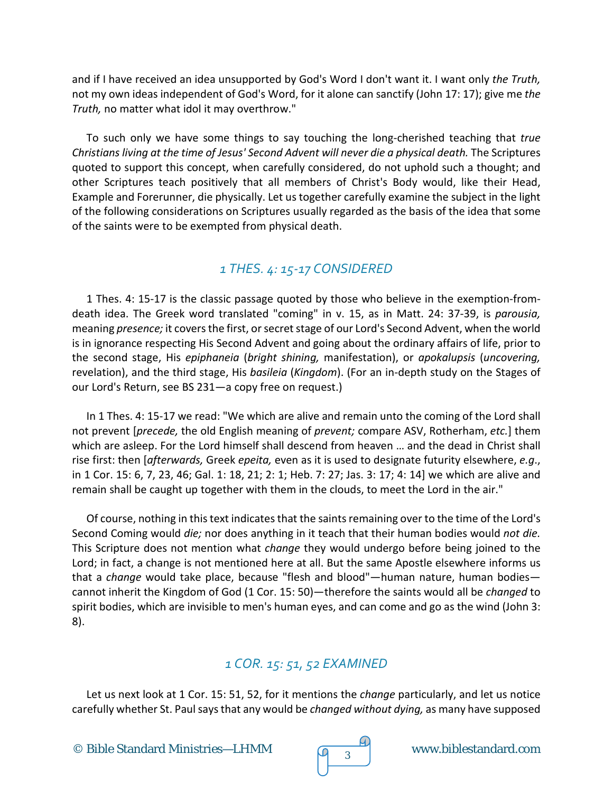and if I have received an idea unsupported by God's Word I don't want it. I want only *the Truth,* not my own ideas independent of God's Word, for it alone can sanctify (John 17: 17); give me *the Truth,* no matter what idol it may overthrow."

To such only we have some things to say touching the long-cherished teaching that *true Christians living at the time of Jesus' Second Advent will never die a physical death.* The Scriptures quoted to support this concept, when carefully considered, do not uphold such a thought; and other Scriptures teach positively that all members of Christ's Body would, like their Head, Example and Forerunner, die physically. Let us together carefully examine the subject in the light of the following considerations on Scriptures usually regarded as the basis of the idea that some of the saints were to be exempted from physical death.

# *1 THES. 4: 15-17 CONSIDERED*

1 Thes. 4: 15-17 is the classic passage quoted by those who believe in the exemption-fromdeath idea. The Greek word translated "coming" in v. 15, as in Matt. 24: 37-39, is *parousia,* meaning *presence;* it covers the first, or secret stage of our Lord's Second Advent, when the world is in ignorance respecting His Second Advent and going about the ordinary affairs of life, prior to the second stage, His *epiphaneia* (*bright shining,* manifestation), or *apokalupsis* (*uncovering,* revelation), and the third stage, His *basileia* (*Kingdom*). (For an in-depth study on the Stages of our Lord's Return, see BS 231—a copy free on request.)

In 1 Thes. 4: 15-17 we read: "We which are alive and remain unto the coming of the Lord shall not prevent [*precede,* the old English meaning of *prevent;* compare ASV, Rotherham, *etc.*] them which are asleep. For the Lord himself shall descend from heaven … and the dead in Christ shall rise first: then [*afterwards,* Greek *epeita,* even as it is used to designate futurity elsewhere, *e.g*., in 1 Cor. 15: 6, 7, 23, 46; Gal. 1: 18, 21; 2: 1; Heb. 7: 27; Jas. 3: 17; 4: 14] we which are alive and remain shall be caught up together with them in the clouds, to meet the Lord in the air."

Of course, nothing in this text indicates that the saints remaining over to the time of the Lord's Second Coming would *die;* nor does anything in it teach that their human bodies would *not die.* This Scripture does not mention what *change* they would undergo before being joined to the Lord; in fact, a change is not mentioned here at all. But the same Apostle elsewhere informs us that a *change* would take place, because "flesh and blood"—human nature, human bodies cannot inherit the Kingdom of God (1 Cor. 15: 50)—therefore the saints would all be *changed* to spirit bodies, which are invisible to men's human eyes, and can come and go as the wind (John 3: 8).

# *1 COR. 15: 51, 52 EXAMINED*

Let us next look at 1 Cor. 15: 51, 52, for it mentions the *change* particularly, and let us notice carefully whether St. Paul says that any would be *changed without dying,* as many have supposed

© Bible Standard Ministries—LHMM  $\sqrt{q}$  3

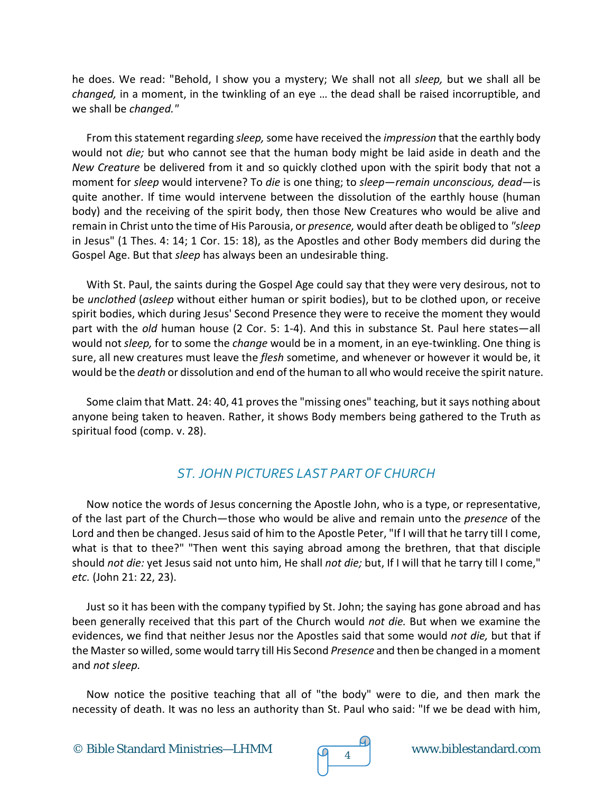he does. We read: "Behold, I show you a mystery; We shall not all *sleep,* but we shall all be *changed,* in a moment, in the twinkling of an eye … the dead shall be raised incorruptible, and we shall be *changed."*

From this statement regarding *sleep,*some have received the *impression* that the earthly body would not *die;* but who cannot see that the human body might be laid aside in death and the *New Creature* be delivered from it and so quickly clothed upon with the spirit body that not a moment for *sleep* would intervene? To *die* is one thing; to *sleep*—*remain unconscious, dead*—is quite another. If time would intervene between the dissolution of the earthly house (human body) and the receiving of the spirit body, then those New Creatures who would be alive and remain in Christ unto the time of His Parousia, or *presence,* would after death be obliged to *"sleep* in Jesus" (1 Thes. 4: 14; 1 Cor. 15: 18), as the Apostles and other Body members did during the Gospel Age. But that *sleep* has always been an undesirable thing.

With St. Paul, the saints during the Gospel Age could say that they were very desirous, not to be *unclothed* (*asleep* without either human or spirit bodies), but to be clothed upon, or receive spirit bodies, which during Jesus' Second Presence they were to receive the moment they would part with the *old* human house (2 Cor. 5: 1-4). And this in substance St. Paul here states—all would not *sleep,* for to some the *change* would be in a moment, in an eye-twinkling. One thing is sure, all new creatures must leave the *flesh* sometime, and whenever or however it would be, it would be the *death* or dissolution and end of the human to all who would receive the spirit nature.

Some claim that Matt. 24: 40, 41 proves the "missing ones" teaching, but it says nothing about anyone being taken to heaven. Rather, it shows Body members being gathered to the Truth as spiritual food (comp. v. 28).

## *ST. JOHN PICTURES LAST PART OF CHURCH*

Now notice the words of Jesus concerning the Apostle John, who is a type, or representative, of the last part of the Church—those who would be alive and remain unto the *presence* of the Lord and then be changed. Jesus said of him to the Apostle Peter, "If I will that he tarry till I come, what is that to thee?" "Then went this saying abroad among the brethren, that that disciple should *not die:* yet Jesus said not unto him, He shall *not die;* but, If I will that he tarry till I come," *etc.* (John 21: 22, 23).

Just so it has been with the company typified by St. John; the saying has gone abroad and has been generally received that this part of the Church would *not die.* But when we examine the evidences, we find that neither Jesus nor the Apostles said that some would *not die,* but that if the Master so willed, some would tarry till His Second *Presence* and then be changed in a moment and *not sleep.*

Now notice the positive teaching that all of "the body" were to die, and then mark the necessity of death. It was no less an authority than St. Paul who said: "If we be dead with him,

© Bible Standard Ministries—LHMM www.biblestandard.com <sup>4</sup>

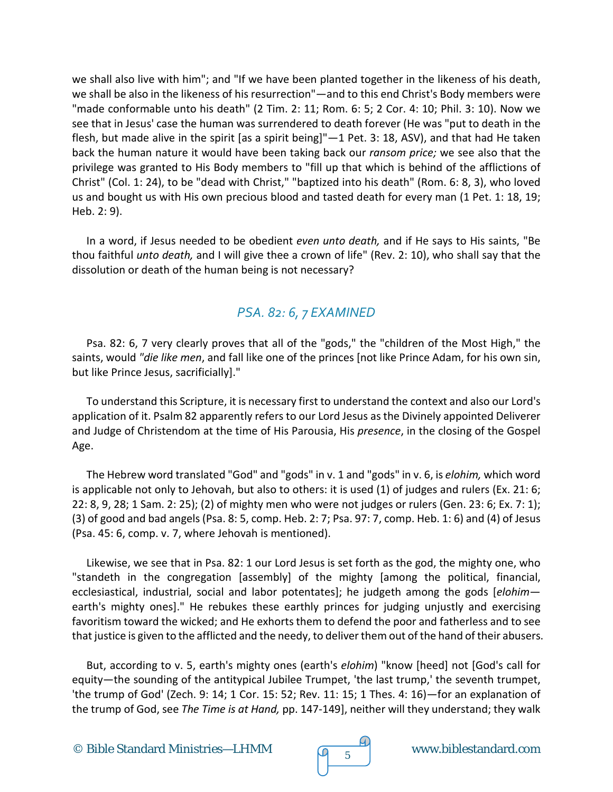we shall also live with him"; and "If we have been planted together in the likeness of his death, we shall be also in the likeness of his resurrection"—and to this end Christ's Body members were "made conformable unto his death" (2 Tim. 2: 11; Rom. 6: 5; 2 Cor. 4: 10; Phil. 3: 10). Now we see that in Jesus' case the human was surrendered to death forever (He was "put to death in the flesh, but made alive in the spirit [as a spirit being]" $-1$  Pet. 3: 18, ASV), and that had He taken back the human nature it would have been taking back our *ransom price;* we see also that the privilege was granted to His Body members to "fill up that which is behind of the afflictions of Christ" (Col. 1: 24), to be "dead with Christ," "baptized into his death" (Rom. 6: 8, 3), who loved us and bought us with His own precious blood and tasted death for every man (1 Pet. 1: 18, 19; Heb. 2: 9).

In a word, if Jesus needed to be obedient *even unto death,* and if He says to His saints, "Be thou faithful *unto death,* and I will give thee a crown of life" (Rev. 2: 10), who shall say that the dissolution or death of the human being is not necessary?

## *PSA. 82: 6, 7 EXAMINED*

Psa. 82: 6, 7 very clearly proves that all of the "gods," the "children of the Most High," the saints, would *"die like men*, and fall like one of the princes [not like Prince Adam, for his own sin, but like Prince Jesus, sacrificially]."

To understand this Scripture, it is necessary first to understand the context and also our Lord's application of it. Psalm 82 apparently refers to our Lord Jesus as the Divinely appointed Deliverer and Judge of Christendom at the time of His Parousia, His *presence*, in the closing of the Gospel Age.

The Hebrew word translated "God" and "gods" in v. 1 and "gods" in v. 6, is *elohim,* which word is applicable not only to Jehovah, but also to others: it is used (1) of judges and rulers (Ex. 21: 6; 22: 8, 9, 28; 1 Sam. 2: 25); (2) of mighty men who were not judges or rulers (Gen. 23: 6; Ex. 7: 1); (3) of good and bad angels (Psa. 8: 5, comp. Heb. 2: 7; Psa. 97: 7, comp. Heb. 1: 6) and (4) of Jesus (Psa. 45: 6, comp. v. 7, where Jehovah is mentioned).

Likewise, we see that in Psa. 82: 1 our Lord Jesus is set forth as the god, the mighty one, who "standeth in the congregation [assembly] of the mighty [among the political, financial, ecclesiastical, industrial, social and labor potentates]; he judgeth among the gods [*elohim* earth's mighty ones]." He rebukes these earthly princes for judging unjustly and exercising favoritism toward the wicked; and He exhorts them to defend the poor and fatherless and to see that justice is given to the afflicted and the needy, to deliver them out of the hand of their abusers.

But, according to v. 5, earth's mighty ones (earth's *elohim*) "know [heed] not [God's call for equity—the sounding of the antitypical Jubilee Trumpet, 'the last trump,' the seventh trumpet, 'the trump of God' (Zech. 9: 14; 1 Cor. 15: 52; Rev. 11: 15; 1 Thes. 4: 16)—for an explanation of the trump of God, see *The Time is at Hand,* pp. 147-149], neither will they understand; they walk

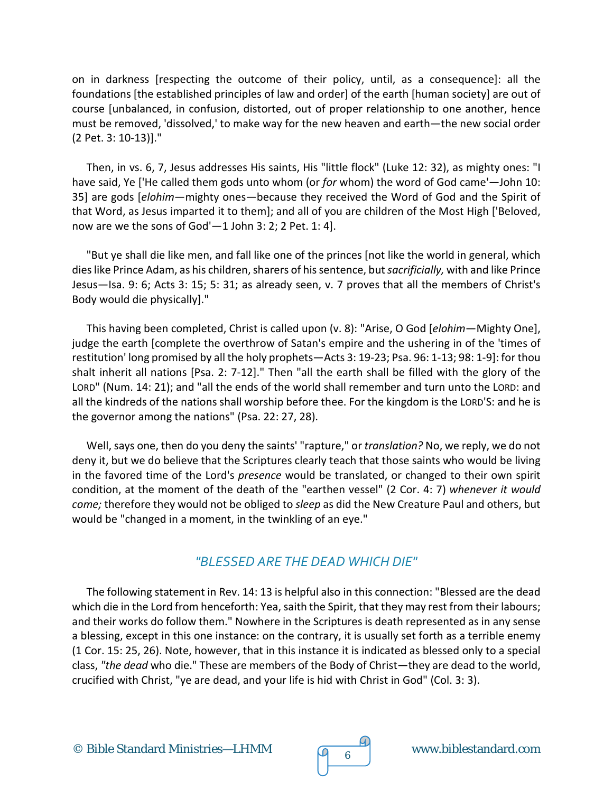on in darkness [respecting the outcome of their policy, until, as a consequence]: all the foundations [the established principles of law and order] of the earth [human society] are out of course [unbalanced, in confusion, distorted, out of proper relationship to one another, hence must be removed, 'dissolved,' to make way for the new heaven and earth—the new social order (2 Pet. 3: 10-13)]."

Then, in vs. 6, 7, Jesus addresses His saints, His "little flock" (Luke 12: 32), as mighty ones: "I have said, Ye ['He called them gods unto whom (or *for* whom) the word of God came'—John 10: 35] are gods [*elohim*—mighty ones—because they received the Word of God and the Spirit of that Word, as Jesus imparted it to them]; and all of you are children of the Most High ['Beloved, now are we the sons of God'—1 John 3: 2; 2 Pet. 1: 4].

"But ye shall die like men, and fall like one of the princes [not like the world in general, which dies like Prince Adam, as his children, sharers of his sentence, but*sacrificially,* with and like Prince Jesus—Isa. 9: 6; Acts 3: 15; 5: 31; as already seen, v. 7 proves that all the members of Christ's Body would die physically]."

This having been completed, Christ is called upon (v. 8): "Arise, O God [*elohim*—Mighty One], judge the earth [complete the overthrow of Satan's empire and the ushering in of the 'times of restitution' long promised by all the holy prophets—Acts 3: 19-23; Psa. 96: 1-13; 98: 1-9]: for thou shalt inherit all nations [Psa. 2: 7-12]." Then "all the earth shall be filled with the glory of the LORD" (Num. 14: 21); and "all the ends of the world shall remember and turn unto the LORD: and all the kindreds of the nations shall worship before thee. For the kingdom is the LORD'S: and he is the governor among the nations" (Psa. 22: 27, 28).

Well, says one, then do you deny the saints' "rapture," or *translation?* No, we reply, we do not deny it, but we do believe that the Scriptures clearly teach that those saints who would be living in the favored time of the Lord's *presence* would be translated, or changed to their own spirit condition, at the moment of the death of the "earthen vessel" (2 Cor. 4: 7) *whenever it would come;* therefore they would not be obliged to *sleep* as did the New Creature Paul and others, but would be "changed in a moment, in the twinkling of an eye."

#### *"BLESSED ARE THE DEAD WHICH DIE"*

The following statement in Rev. 14: 13 is helpful also in this connection: "Blessed are the dead which die in the Lord from henceforth: Yea, saith the Spirit, that they may rest from their labours; and their works do follow them." Nowhere in the Scriptures is death represented as in any sense a blessing, except in this one instance: on the contrary, it is usually set forth as a terrible enemy (1 Cor. 15: 25, 26). Note, however, that in this instance it is indicated as blessed only to a special class, *"the dead* who die." These are members of the Body of Christ—they are dead to the world, crucified with Christ, "ye are dead, and your life is hid with Christ in God" (Col. 3: 3).

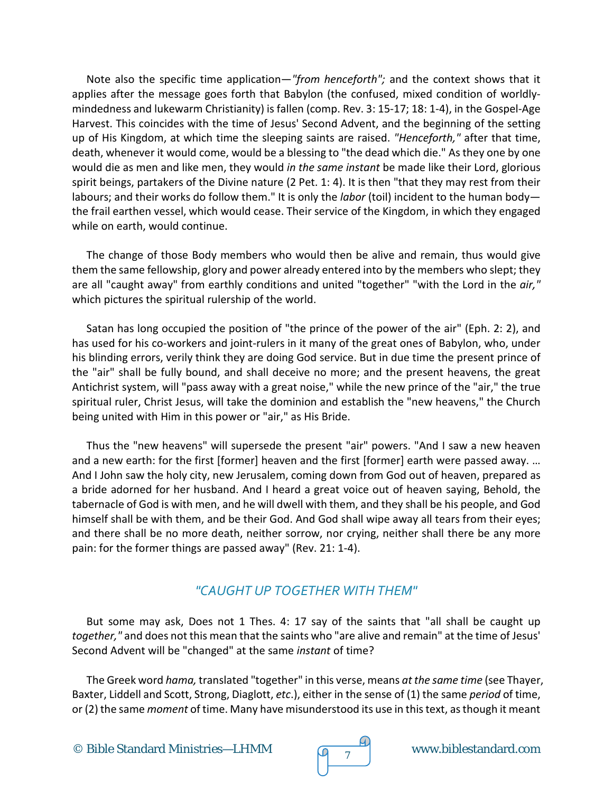Note also the specific time application—*"from henceforth";* and the context shows that it applies after the message goes forth that Babylon (the confused, mixed condition of worldlymindedness and lukewarm Christianity) is fallen (comp. Rev. 3: 15-17; 18: 1-4), in the Gospel-Age Harvest. This coincides with the time of Jesus' Second Advent, and the beginning of the setting up of His Kingdom, at which time the sleeping saints are raised. *"Henceforth,"* after that time, death, whenever it would come, would be a blessing to "the dead which die." As they one by one would die as men and like men, they would *in the same instant* be made like their Lord, glorious spirit beings, partakers of the Divine nature (2 Pet. 1: 4). It is then "that they may rest from their labours; and their works do follow them." It is only the *labor* (toil) incident to the human body the frail earthen vessel, which would cease. Their service of the Kingdom, in which they engaged while on earth, would continue.

The change of those Body members who would then be alive and remain, thus would give them the same fellowship, glory and power already entered into by the members who slept; they are all "caught away" from earthly conditions and united "together" "with the Lord in the *air,"* which pictures the spiritual rulership of the world.

Satan has long occupied the position of "the prince of the power of the air" (Eph. 2: 2), and has used for his co-workers and joint-rulers in it many of the great ones of Babylon, who, under his blinding errors, verily think they are doing God service. But in due time the present prince of the "air" shall be fully bound, and shall deceive no more; and the present heavens, the great Antichrist system, will "pass away with a great noise," while the new prince of the "air," the true spiritual ruler, Christ Jesus, will take the dominion and establish the "new heavens," the Church being united with Him in this power or "air," as His Bride.

Thus the "new heavens" will supersede the present "air" powers. "And I saw a new heaven and a new earth: for the first [former] heaven and the first [former] earth were passed away. … And I John saw the holy city, new Jerusalem, coming down from God out of heaven, prepared as a bride adorned for her husband. And I heard a great voice out of heaven saying, Behold, the tabernacle of God is with men, and he will dwell with them, and they shall be his people, and God himself shall be with them, and be their God. And God shall wipe away all tears from their eyes; and there shall be no more death, neither sorrow, nor crying, neither shall there be any more pain: for the former things are passed away" (Rev. 21: 1-4).

#### *"CAUGHT UP TOGETHER WITH THEM"*

But some may ask, Does not 1 Thes. 4: 17 say of the saints that "all shall be caught up *together,"* and does not this mean that the saints who "are alive and remain" at the time of Jesus' Second Advent will be "changed" at the same *instant* of time?

The Greek word *hama,* translated "together" in this verse, means *at the same time* (see Thayer, Baxter, Liddell and Scott, Strong, Diaglott, *etc*.), either in the sense of (1) the same *period* of time, or (2) the same *moment* of time. Many have misunderstood its use in this text, as though it meant

© Bible Standard Ministries—LHMM www.biblestandard.com <sup>7</sup>

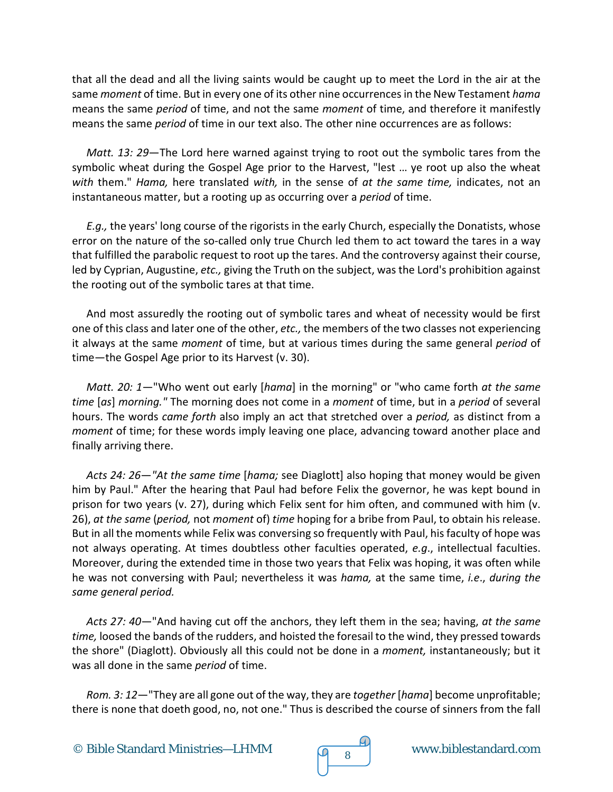that all the dead and all the living saints would be caught up to meet the Lord in the air at the same *moment* of time. But in every one of its other nine occurrences in the New Testament *hama* means the same *period* of time, and not the same *moment* of time, and therefore it manifestly means the same *period* of time in our text also. The other nine occurrences are as follows:

*Matt. 13: 29*—The Lord here warned against trying to root out the symbolic tares from the symbolic wheat during the Gospel Age prior to the Harvest, "lest … ye root up also the wheat *with* them." *Hama,* here translated *with,* in the sense of *at the same time,* indicates, not an instantaneous matter, but a rooting up as occurring over a *period* of time.

*E.g.,* the years' long course of the rigorists in the early Church, especially the Donatists, whose error on the nature of the so-called only true Church led them to act toward the tares in a way that fulfilled the parabolic request to root up the tares. And the controversy against their course, led by Cyprian, Augustine, *etc.,* giving the Truth on the subject, was the Lord's prohibition against the rooting out of the symbolic tares at that time.

And most assuredly the rooting out of symbolic tares and wheat of necessity would be first one of this class and later one of the other, *etc.,* the members of the two classes not experiencing it always at the same *moment* of time, but at various times during the same general *period* of time—the Gospel Age prior to its Harvest (v. 30).

*Matt. 20: 1*—"Who went out early [*hama*] in the morning" or "who came forth *at the same time* [*as*] *morning."* The morning does not come in a *moment* of time, but in a *period* of several hours. The words *came forth* also imply an act that stretched over a *period,* as distinct from a *moment* of time; for these words imply leaving one place, advancing toward another place and finally arriving there.

*Acts 24: 26*—*"At the same time* [*hama;* see Diaglott] also hoping that money would be given him by Paul." After the hearing that Paul had before Felix the governor, he was kept bound in prison for two years (v. 27), during which Felix sent for him often, and communed with him (v. 26), *at the same* (*period,* not *moment* of) *time* hoping for a bribe from Paul, to obtain his release. But in all the moments while Felix was conversing so frequently with Paul, his faculty of hope was not always operating. At times doubtless other faculties operated, *e.g*., intellectual faculties. Moreover, during the extended time in those two years that Felix was hoping, it was often while he was not conversing with Paul; nevertheless it was *hama,* at the same time, *i.e*., *during the same general period.*

*Acts 27: 40*—"And having cut off the anchors, they left them in the sea; having, *at the same time,* loosed the bands of the rudders, and hoisted the foresail to the wind, they pressed towards the shore" (Diaglott). Obviously all this could not be done in a *moment,* instantaneously; but it was all done in the same *period* of time.

*Rom. 3: 12*—"They are all gone out of the way, they are *together* [*hama*] become unprofitable; there is none that doeth good, no, not one." Thus is described the course of sinners from the fall



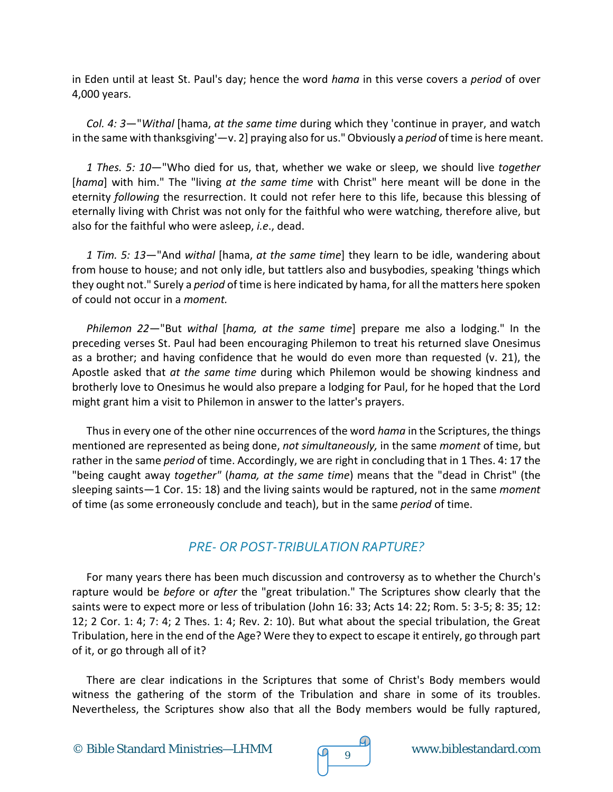in Eden until at least St. Paul's day; hence the word *hama* in this verse covers a *period* of over 4,000 years.

*Col. 4: 3*—"*Withal* [hama, *at the same time* during which they 'continue in prayer, and watch in the same with thanksgiving'—v. 2] praying also for us." Obviously a *period* of time is here meant.

*1 Thes. 5: 10*—"Who died for us, that, whether we wake or sleep, we should live *together* [*hama*] with him." The "living *at the same time* with Christ" here meant will be done in the eternity *following* the resurrection. It could not refer here to this life, because this blessing of eternally living with Christ was not only for the faithful who were watching, therefore alive, but also for the faithful who were asleep, *i.e*., dead.

*1 Tim. 5: 13*—"And *withal* [hama, *at the same time*] they learn to be idle, wandering about from house to house; and not only idle, but tattlers also and busybodies, speaking 'things which they ought not." Surely a *period* of time is here indicated by hama, for all the matters here spoken of could not occur in a *moment.*

*Philemon 22*—"But *withal* [*hama, at the same time*] prepare me also a lodging." In the preceding verses St. Paul had been encouraging Philemon to treat his returned slave Onesimus as a brother; and having confidence that he would do even more than requested (v. 21), the Apostle asked that *at the same time* during which Philemon would be showing kindness and brotherly love to Onesimus he would also prepare a lodging for Paul, for he hoped that the Lord might grant him a visit to Philemon in answer to the latter's prayers.

Thus in every one of the other nine occurrences of the word *hama* in the Scriptures, the things mentioned are represented as being done, *not simultaneously,* in the same *moment* of time, but rather in the same *period* of time. Accordingly, we are right in concluding that in 1 Thes. 4: 17 the "being caught away *together"* (*hama, at the same time*) means that the "dead in Christ" (the sleeping saints—1 Cor. 15: 18) and the living saints would be raptured, not in the same *moment* of time (as some erroneously conclude and teach), but in the same *period* of time.

#### *PRE- OR POST-TRIBULATION RAPTURE?*

For many years there has been much discussion and controversy as to whether the Church's rapture would be *before* or *after* the "great tribulation." The Scriptures show clearly that the saints were to expect more or less of tribulation (John 16: 33; Acts 14: 22; Rom. 5: 3-5; 8: 35; 12: 12; 2 Cor. 1: 4; 7: 4; 2 Thes. 1: 4; Rev. 2: 10). But what about the special tribulation, the Great Tribulation, here in the end of the Age? Were they to expect to escape it entirely, go through part of it, or go through all of it?

There are clear indications in the Scriptures that some of Christ's Body members would witness the gathering of the storm of the Tribulation and share in some of its troubles. Nevertheless, the Scriptures show also that all the Body members would be fully raptured,

© Bible Standard Ministries—LHMM  $\sqrt{q}$   $\frac{q}{9}$  www.biblestandard.com

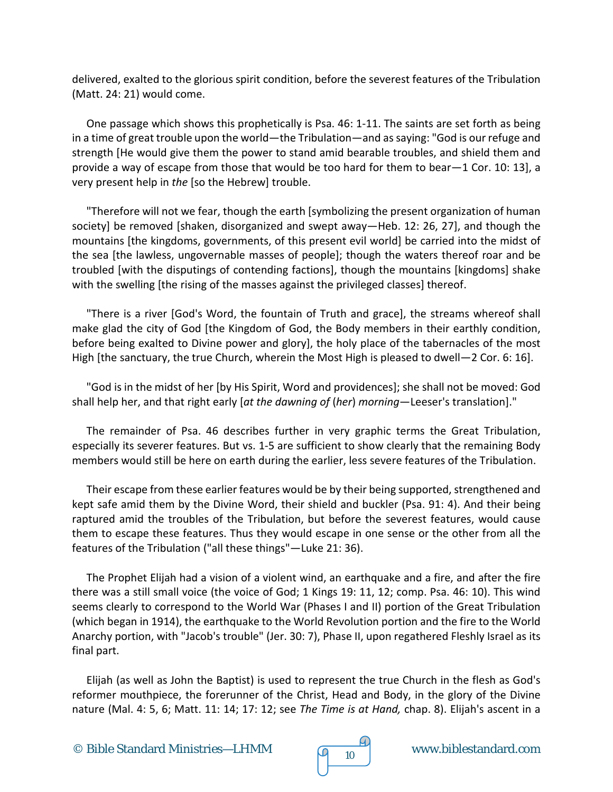delivered, exalted to the glorious spirit condition, before the severest features of the Tribulation (Matt. 24: 21) would come.

One passage which shows this prophetically is Psa. 46: 1-11. The saints are set forth as being in a time of great trouble upon the world—the Tribulation—and as saying: "God is our refuge and strength [He would give them the power to stand amid bearable troubles, and shield them and provide a way of escape from those that would be too hard for them to bear—1 Cor. 10: 13], a very present help in *the* [so the Hebrew] trouble.

"Therefore will not we fear, though the earth [symbolizing the present organization of human society] be removed [shaken, disorganized and swept away—Heb. 12: 26, 27], and though the mountains [the kingdoms, governments, of this present evil world] be carried into the midst of the sea [the lawless, ungovernable masses of people]; though the waters thereof roar and be troubled [with the disputings of contending factions], though the mountains [kingdoms] shake with the swelling [the rising of the masses against the privileged classes] thereof.

"There is a river [God's Word, the fountain of Truth and grace], the streams whereof shall make glad the city of God [the Kingdom of God, the Body members in their earthly condition, before being exalted to Divine power and glory], the holy place of the tabernacles of the most High [the sanctuary, the true Church, wherein the Most High is pleased to dwell—2 Cor. 6: 16].

"God is in the midst of her [by His Spirit, Word and providences]; she shall not be moved: God shall help her, and that right early [*at the dawning of* (*her*) *morning*—Leeser's translation]."

The remainder of Psa. 46 describes further in very graphic terms the Great Tribulation, especially its severer features. But vs. 1-5 are sufficient to show clearly that the remaining Body members would still be here on earth during the earlier, less severe features of the Tribulation.

Their escape from these earlier features would be by their being supported, strengthened and kept safe amid them by the Divine Word, their shield and buckler (Psa. 91: 4). And their being raptured amid the troubles of the Tribulation, but before the severest features, would cause them to escape these features. Thus they would escape in one sense or the other from all the features of the Tribulation ("all these things"—Luke 21: 36).

The Prophet Elijah had a vision of a violent wind, an earthquake and a fire, and after the fire there was a still small voice (the voice of God; 1 Kings 19: 11, 12; comp. Psa. 46: 10). This wind seems clearly to correspond to the World War (Phases I and II) portion of the Great Tribulation (which began in 1914), the earthquake to the World Revolution portion and the fire to the World Anarchy portion, with "Jacob's trouble" (Jer. 30: 7), Phase II, upon regathered Fleshly Israel as its final part.

Elijah (as well as John the Baptist) is used to represent the true Church in the flesh as God's reformer mouthpiece, the forerunner of the Christ, Head and Body, in the glory of the Divine nature (Mal. 4: 5, 6; Matt. 11: 14; 17: 12; see *The Time is at Hand,* chap. 8). Elijah's ascent in a

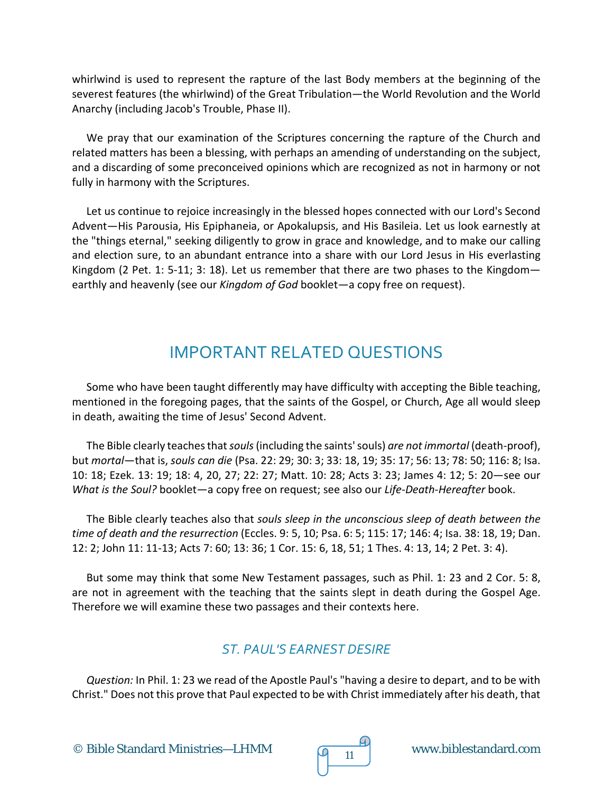whirlwind is used to represent the rapture of the last Body members at the beginning of the severest features (the whirlwind) of the Great Tribulation—the World Revolution and the World Anarchy (including Jacob's Trouble, Phase II).

We pray that our examination of the Scriptures concerning the rapture of the Church and related matters has been a blessing, with perhaps an amending of understanding on the subject, and a discarding of some preconceived opinions which are recognized as not in harmony or not fully in harmony with the Scriptures.

Let us continue to rejoice increasingly in the blessed hopes connected with our Lord's Second Advent—His Parousia, His Epiphaneia, or Apokalupsis, and His Basileia. Let us look earnestly at the "things eternal," seeking diligently to grow in grace and knowledge, and to make our calling and election sure, to an abundant entrance into a share with our Lord Jesus in His everlasting Kingdom (2 Pet. 1: 5-11; 3: 18). Let us remember that there are two phases to the Kingdom earthly and heavenly (see our *Kingdom of God* booklet—a copy free on request).

# IMPORTANT RELATED QUESTIONS

Some who have been taught differently may have difficulty with accepting the Bible teaching, mentioned in the foregoing pages, that the saints of the Gospel, or Church, Age all would sleep in death, awaiting the time of Jesus' Second Advent.

The Bible clearly teaches that*souls*(including the saints' souls) *are not immortal* (death-proof), but *mortal*—that is, *souls can die* (Psa. 22: 29; 30: 3; 33: 18, 19; 35: 17; 56: 13; 78: 50; 116: 8; Isa. 10: 18; Ezek. 13: 19; 18: 4, 20, 27; 22: 27; Matt. 10: 28; Acts 3: 23; James 4: 12; 5: 20—see our *What is the Soul?* booklet—a copy free on request; see also our *Life-Death-Hereafter* book.

The Bible clearly teaches also that *souls sleep in the unconscious sleep of death between the time of death and the resurrection* (Eccles. 9: 5, 10; Psa. 6: 5; 115: 17; 146: 4; Isa. 38: 18, 19; Dan. 12: 2; John 11: 11-13; Acts 7: 60; 13: 36; 1 Cor. 15: 6, 18, 51; 1 Thes. 4: 13, 14; 2 Pet. 3: 4).

But some may think that some New Testament passages, such as Phil. 1: 23 and 2 Cor. 5: 8, are not in agreement with the teaching that the saints slept in death during the Gospel Age. Therefore we will examine these two passages and their contexts here.

# *ST. PAUL'S EARNEST DESIRE*

*Question:* In Phil. 1: 23 we read of the Apostle Paul's "having a desire to depart, and to be with Christ." Does not this prove that Paul expected to be with Christ immediately after his death, that

© Bible Standard Ministries—LHMM  $\sqrt{9}$  11 www.biblestandard.com



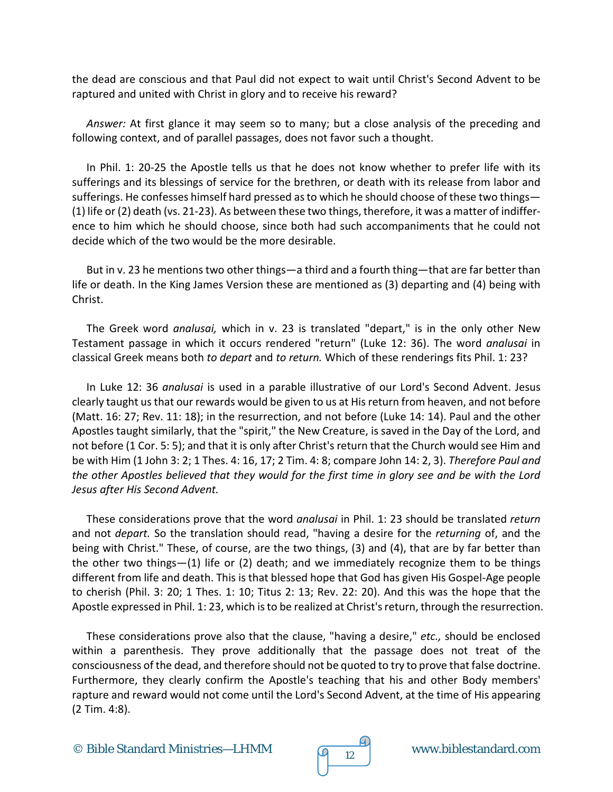the dead are conscious and that Paul did not expect to wait until Christ's Second Advent to be raptured and united with Christ in glory and to receive his reward?

*Answer:* At first glance it may seem so to many; but a close analysis of the preceding and following context, and of parallel passages, does not favor such a thought.

In Phil. 1: 20-25 the Apostle tells us that he does not know whether to prefer life with its sufferings and its blessings of service for the brethren, or death with its release from labor and sufferings. He confesses himself hard pressed as to which he should choose of these two things— (1) life or (2) death (vs. 21-23). As between these two things, therefore, it was a matter of indifference to him which he should choose, since both had such accompaniments that he could not decide which of the two would be the more desirable.

But in v. 23 he mentions two other things—a third and a fourth thing—that are far better than life or death. In the King James Version these are mentioned as (3) departing and (4) being with Christ.

The Greek word *analusai,* which in v. 23 is translated "depart," is in the only other New Testament passage in which it occurs rendered "return" (Luke 12: 36). The word *analusai* in classical Greek means both *to depart* and *to return.* Which of these renderings fits Phil. 1: 23?

In Luke 12: 36 *analusai* is used in a parable illustrative of our Lord's Second Advent. Jesus clearly taught us that our rewards would be given to us at His return from heaven, and not before (Matt. 16: 27; Rev. 11: 18); in the resurrection, and not before (Luke 14: 14). Paul and the other Apostles taught similarly, that the "spirit," the New Creature, is saved in the Day of the Lord, and not before (1 Cor. 5: 5); and that it is only after Christ's return that the Church would see Him and be with Him (1 John 3: 2; 1 Thes. 4: 16, 17; 2 Tim. 4: 8; compare John 14: 2, 3). *Therefore Paul and the other Apostles believed that they would for the first time in glory see and be with the Lord Jesus after His Second Advent.*

These considerations prove that the word *analusai* in Phil. 1: 23 should be translated *return* and not *depart.* So the translation should read, "having a desire for the *returning* of, and the being with Christ." These, of course, are the two things, (3) and (4), that are by far better than the other two things—(1) life or (2) death; and we immediately recognize them to be things different from life and death. This is that blessed hope that God has given His Gospel-Age people to cherish (Phil. 3: 20; 1 Thes. 1: 10; Titus 2: 13; Rev. 22: 20). And this was the hope that the Apostle expressed in Phil. 1: 23, which is to be realized at Christ's return, through the resurrection.

These considerations prove also that the clause, "having a desire," *etc.,* should be enclosed within a parenthesis. They prove additionally that the passage does not treat of the consciousness of the dead, and therefore should not be quoted to try to prove that false doctrine. Furthermore, they clearly confirm the Apostle's teaching that his and other Body members' rapture and reward would not come until the Lord's Second Advent, at the time of His appearing (2 Tim. 4:8).

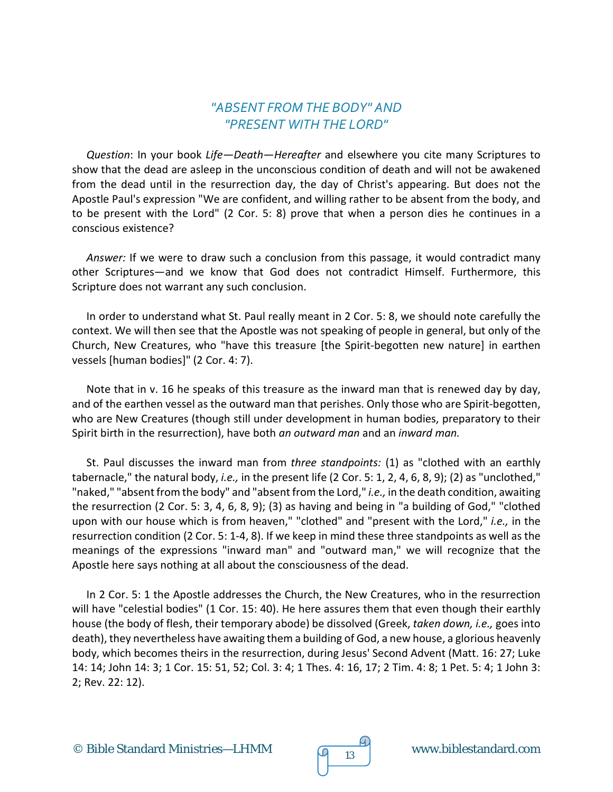#### *"ABSENT FROM THE BODY" AND "PRESENT WITH THE LORD"*

*Question*: In your book *Life—Death—Hereafter* and elsewhere you cite many Scriptures to show that the dead are asleep in the unconscious condition of death and will not be awakened from the dead until in the resurrection day, the day of Christ's appearing. But does not the Apostle Paul's expression "We are confident, and willing rather to be absent from the body, and to be present with the Lord" (2 Cor. 5: 8) prove that when a person dies he continues in a conscious existence?

*Answer:* If we were to draw such a conclusion from this passage, it would contradict many other Scriptures—and we know that God does not contradict Himself. Furthermore, this Scripture does not warrant any such conclusion.

In order to understand what St. Paul really meant in 2 Cor. 5: 8, we should note carefully the context. We will then see that the Apostle was not speaking of people in general, but only of the Church, New Creatures, who "have this treasure [the Spirit-begotten new nature] in earthen vessels [human bodies]" (2 Cor. 4: 7).

Note that in v. 16 he speaks of this treasure as the inward man that is renewed day by day, and of the earthen vessel as the outward man that perishes. Only those who are Spirit-begotten, who are New Creatures (though still under development in human bodies, preparatory to their Spirit birth in the resurrection), have both *an outward man* and an *inward man.*

St. Paul discusses the inward man from *three standpoints:* (1) as "clothed with an earthly tabernacle," the natural body, *i.e.,* in the present life (2 Cor. 5: 1, 2, 4, 6, 8, 9); (2) as "unclothed," "naked," "absent from the body" and "absent from the Lord," *i.e.,* in the death condition, awaiting the resurrection (2 Cor. 5: 3, 4, 6, 8, 9); (3) as having and being in "a building of God," "clothed upon with our house which is from heaven," "clothed" and "present with the Lord," *i.e.,* in the resurrection condition (2 Cor. 5: 1-4, 8). If we keep in mind these three standpoints as well as the meanings of the expressions "inward man" and "outward man," we will recognize that the Apostle here says nothing at all about the consciousness of the dead.

In 2 Cor. 5: 1 the Apostle addresses the Church, the New Creatures, who in the resurrection will have "celestial bodies" (1 Cor. 15: 40). He here assures them that even though their earthly house (the body of flesh, their temporary abode) be dissolved (Greek, *taken down, i.e.,* goes into death), they nevertheless have awaiting them a building of God, a new house, a glorious heavenly body, which becomes theirs in the resurrection, during Jesus' Second Advent (Matt. 16: 27; Luke 14: 14; John 14: 3; 1 Cor. 15: 51, 52; Col. 3: 4; 1 Thes. 4: 16, 17; 2 Tim. 4: 8; 1 Pet. 5: 4; 1 John 3: 2; Rev. 22: 12).

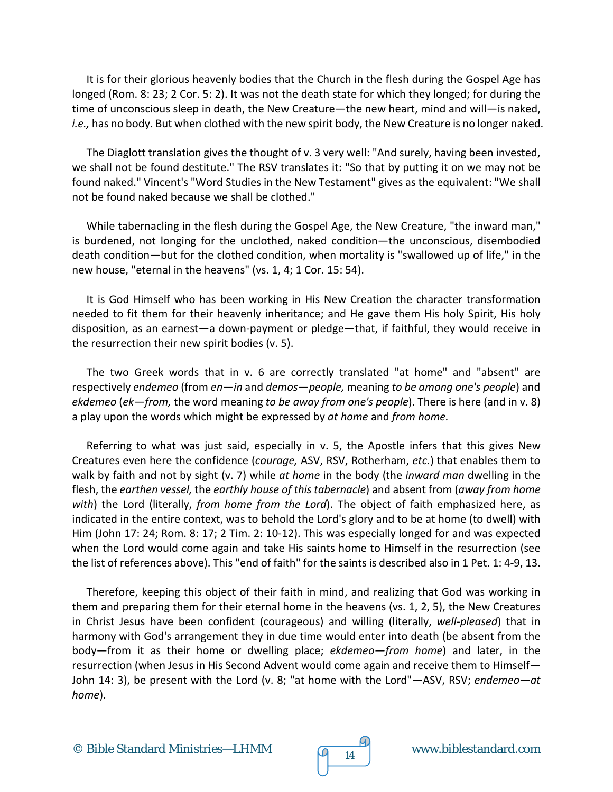It is for their glorious heavenly bodies that the Church in the flesh during the Gospel Age has longed (Rom. 8: 23; 2 Cor. 5: 2). It was not the death state for which they longed; for during the time of unconscious sleep in death, the New Creature—the new heart, mind and will—is naked, *i.e.,* has no body. But when clothed with the new spirit body, the New Creature is no longer naked.

The Diaglott translation gives the thought of v. 3 very well: "And surely, having been invested, we shall not be found destitute." The RSV translates it: "So that by putting it on we may not be found naked." Vincent's "Word Studies in the New Testament" gives as the equivalent: "We shall not be found naked because we shall be clothed."

While tabernacling in the flesh during the Gospel Age, the New Creature, "the inward man," is burdened, not longing for the unclothed, naked condition—the unconscious, disembodied death condition—but for the clothed condition, when mortality is "swallowed up of life," in the new house, "eternal in the heavens" (vs. 1, 4; 1 Cor. 15: 54).

It is God Himself who has been working in His New Creation the character transformation needed to fit them for their heavenly inheritance; and He gave them His holy Spirit, His holy disposition, as an earnest—a down-payment or pledge—that, if faithful, they would receive in the resurrection their new spirit bodies (v. 5).

The two Greek words that in v. 6 are correctly translated "at home" and "absent" are respectively *endemeo* (from *en—in* and *demos—people,* meaning *to be among one's people*) and *ekdemeo* (*ek—from,* the word meaning *to be away from one's people*). There is here (and in v. 8) a play upon the words which might be expressed by *at home* and *from home.*

Referring to what was just said, especially in v. 5, the Apostle infers that this gives New Creatures even here the confidence (*courage,* ASV, RSV, Rotherham, *etc.*) that enables them to walk by faith and not by sight (v. 7) while *at home* in the body (the *inward man* dwelling in the flesh, the *earthen vessel,* the *earthly house of this tabernacle*) and absent from (*away from home with*) the Lord (literally, *from home from the Lord*). The object of faith emphasized here, as indicated in the entire context, was to behold the Lord's glory and to be at home (to dwell) with Him (John 17: 24; Rom. 8: 17; 2 Tim. 2: 10-12). This was especially longed for and was expected when the Lord would come again and take His saints home to Himself in the resurrection (see the list of references above). This "end of faith" for the saints is described also in 1 Pet. 1: 4-9, 13.

Therefore, keeping this object of their faith in mind, and realizing that God was working in them and preparing them for their eternal home in the heavens (vs. 1, 2, 5), the New Creatures in Christ Jesus have been confident (courageous) and willing (literally, *well-pleased*) that in harmony with God's arrangement they in due time would enter into death (be absent from the body—from it as their home or dwelling place; *ekdemeo—from home*) and later, in the resurrection (when Jesus in His Second Advent would come again and receive them to Himself— John 14: 3), be present with the Lord (v. 8; "at home with the Lord"—ASV, RSV; *endemeo—at home*).